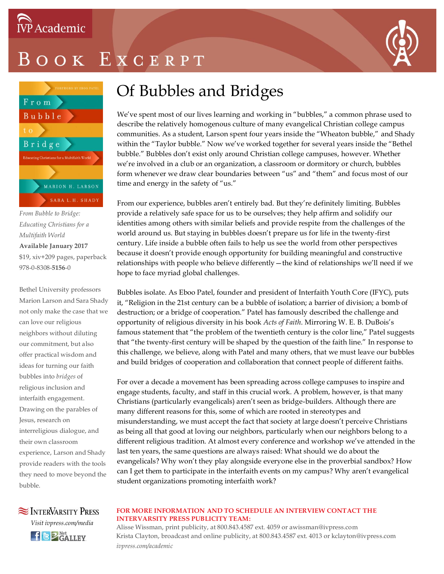

# OOK EXCERPT



*From Bubble to Bridge: Educating Christians for a Multifaith World* **Available January 2017** \$19, xiv+209 pages, paperback 978-0-8308-**5156**-0

Bethel University professors Marion Larson and Sara Shady not only make the case that we can love our religious neighbors without diluting our commitment, but also offer practical wisdom and ideas for turning our faith bubbles into *bridges* of religious inclusion and interfaith engagement. Drawing on the parables of Jesus, research on interreligious dialogue, and their own classroom experience, Larson and Shady provide readers with the tools they need to move beyond the bubble.

### Of Bubbles and Bridges

We've spent most of our lives learning and working in "bubbles," a common phrase used to describe the relatively homogenous culture of many evangelical Christian college campus communities. As a student, Larson spent four years inside the "Wheaton bubble," and Shady within the "Taylor bubble." Now we've worked together for several years inside the "Bethel bubble." Bubbles don't exist only around Christian college campuses, however. Whether we're involved in a club or an organization, a classroom or dormitory or church, bubbles form whenever we draw clear boundaries between "us" and "them" and focus most of our time and energy in the safety of "us."

From our experience, bubbles aren't entirely bad. But they're definitely limiting. Bubbles provide a relatively safe space for us to be ourselves; they help affirm and solidify our identities among others with similar beliefs and provide respite from the challenges of the world around us. But staying in bubbles doesn't prepare us for life in the twenty-first century. Life inside a bubble often fails to help us see the world from other perspectives because it doesn't provide enough opportunity for building meaningful and constructive relationships with people who believe differently—the kind of relationships we'll need if we hope to face myriad global challenges.

Bubbles isolate. As Eboo Patel, founder and president of Interfaith Youth Core (IFYC), puts it, "Religion in the 21st century can be a bubble of isolation; a barrier of division; a bomb of destruction; or a bridge of cooperation." Patel has famously described the challenge and opportunity of religious diversity in his book *Acts of Faith*. Mirroring W. E. B. DuBois's famous statement that "the problem of the twentieth century is the color line," Patel suggests that "the twenty-first century will be shaped by the question of the faith line." In response to this challenge, we believe, along with Patel and many others, that we must leave our bubbles and build bridges of cooperation and collaboration that connect people of different faiths.

For over a decade a movement has been spreading across college campuses to inspire and engage students, faculty, and staff in this crucial work. A problem, however, is that many Christians (particularly evangelicals) aren't seen as bridge-builders. Although there are many different reasons for this, some of which are rooted in stereotypes and misunderstanding, we must accept the fact that society at large doesn't perceive Christians as being all that good at loving our neighbors, particularly when our neighbors belong to a different religious tradition. At almost every conference and workshop we've attended in the last ten years, the same questions are always raised: What should we do about the evangelicals? Why won't they play alongside everyone else in the proverbial sandbox? How can I get them to participate in the interfaith events on my campus? Why aren't evangelical student organizations promoting interfaith work?

### **SEX INTERVARSITY PRESS** *Visit ivpress.com/media* **f BZ** Net LLEY

#### **FOR MORE INFORMATION AND TO SCHEDULE AN INTERVIEW CONTACT THE INTERVARSITY PRESS PUBLICITY TEAM:**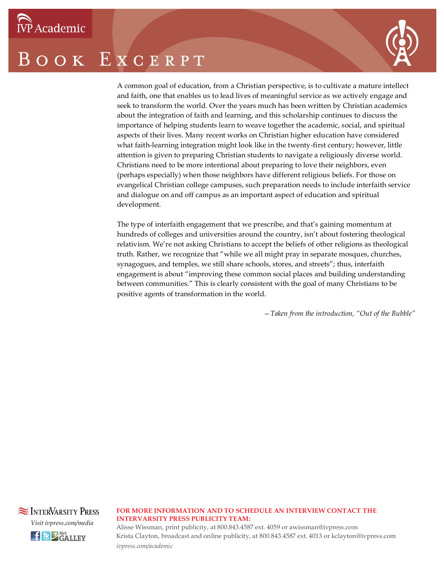# BOOK EXCERPT



A common goal of education, from a Christian perspective, is to cultivate a mature intellect and faith, one that enables us to lead lives of meaningful service as we actively engage and seek to transform the world. Over the years much has been written by Christian academics about the integration of faith and learning, and this scholarship continues to discuss the importance of helping students learn to weave together the academic, social, and spiritual aspects of their lives. Many recent works on Christian higher education have considered what faith-learning integration might look like in the twenty-first century; however, little attention is given to preparing Christian students to navigate a religiously diverse world. Christians need to be more intentional about preparing to love their neighbors, even (perhaps especially) when those neighbors have different religious beliefs. For those on evangelical Christian college campuses, such preparation needs to include interfaith service and dialogue on and off campus as an important aspect of education and spiritual development.

The type of interfaith engagement that we prescribe, and that's gaining momentum at hundreds of colleges and universities around the country, isn't about fostering theological relativism. We're not asking Christians to accept the beliefs of other religions as theological truth. Rather, we recognize that "while we all might pray in separate mosques, churches, synagogues, and temples, we still share schools, stores, and streets"; thus, interfaith engagement is about "improving these common social places and building understanding between communities." This is clearly consistent with the goal of many Christians to be positive agents of transformation in the world.

*—Taken from the introduction, "Out of the Bubble"*



#### **FOR MORE INFORMATION AND TO SCHEDULE AN INTERVIEW CONTACT THE INTERVARSITY PRESS PUBLICITY TEAM:**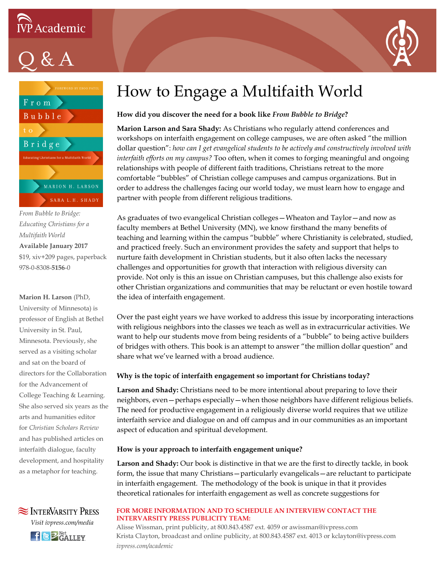

 $Q & A$ 





*From Bubble to Bridge: Educating Christians for a Multifaith World* **Available January 2017** \$19, xiv+209 pages, paperback 978-0-8308-**5156**-0

### **Marion H. Larson** (PhD, University of Minnesota) is professor of English at Bethel University in St. Paul, Minnesota. Previously, she served as a visiting scholar and sat on the board of directors for the Collaboration for the Advancement of College Teaching & Learning. She also served six years as the arts and humanities editor for *Christian Scholars Review* and has published articles on interfaith dialogue, faculty development, and hospitality as a metaphor for teaching.



### How to Engage a Multifaith World

#### **How did you discover the need for a book like** *From Bubble to Bridge***?**

**Marion Larson and Sara Shady:** As Christians who regularly attend conferences and workshops on interfaith engagement on college campuses, we are often asked "the million dollar question": *how can I get evangelical students to be actively and constructively involved with interfaith efforts on my campus?* Too often, when it comes to forging meaningful and ongoing relationships with people of different faith traditions, Christians retreat to the more comfortable "bubbles" of Christian college campuses and campus organizations. But in order to address the challenges facing our world today, we must learn how to engage and partner with people from different religious traditions.

As graduates of two evangelical Christian colleges—Wheaton and Taylor—and now as faculty members at Bethel University (MN), we know firsthand the many benefits of teaching and learning within the campus "bubble" where Christianity is celebrated, studied, and practiced freely. Such an environment provides the safety and support that helps to nurture faith development in Christian students, but it also often lacks the necessary challenges and opportunities for growth that interaction with religious diversity can provide. Not only is this an issue on Christian campuses, but this challenge also exists for other Christian organizations and communities that may be reluctant or even hostile toward the idea of interfaith engagement.

Over the past eight years we have worked to address this issue by incorporating interactions with religious neighbors into the classes we teach as well as in extracurricular activities. We want to help our students move from being residents of a "bubble" to being active builders of bridges with others. This book is an attempt to answer "the million dollar question" and share what we've learned with a broad audience.

#### **Why is the topic of interfaith engagement so important for Christians today?**

**Larson and Shady:** Christians need to be more intentional about preparing to love their neighbors, even—perhaps especially—when those neighbors have different religious beliefs. The need for productive engagement in a religiously diverse world requires that we utilize interfaith service and dialogue on and off campus and in our communities as an important aspect of education and spiritual development.

#### **How is your approach to interfaith engagement unique?**

**Larson and Shady:** Our book is distinctive in that we are the first to directly tackle, in book form, the issue that many Christians—particularly evangelicals—are reluctant to participate in interfaith engagement. The methodology of the book is unique in that it provides theoretical rationales for interfaith engagement as well as concrete suggestions for

#### **FOR MORE INFORMATION AND TO SCHEDULE AN INTERVIEW CONTACT THE INTERVARSITY PRESS PUBLICITY TEAM:**